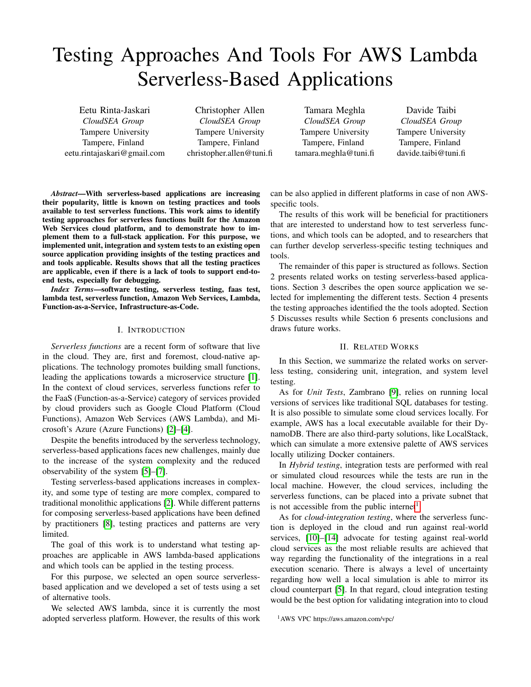# Testing Approaches And Tools For AWS Lambda Serverless-Based Applications

Eetu Rinta-Jaskari *CloudSEA Group* Tampere University Tampere, Finland eetu.rintajaskari@gmail.com

Christopher Allen *CloudSEA Group* Tampere University Tampere, Finland christopher.allen@tuni.fi

Tamara Meghla *CloudSEA Group* Tampere University Tampere, Finland tamara.meghla@tuni.fi

Davide Taibi *CloudSEA Group* Tampere University Tampere, Finland davide.taibi@tuni.fi

*Abstract*—With serverless-based applications are increasing their popularity, little is known on testing practices and tools available to test serverless functions. This work aims to identify testing approaches for serverless functions built for the Amazon Web Services cloud platform, and to demonstrate how to implement them to a full-stack application. For this purpose, we implemented unit, integration and system tests to an existing open source application providing insights of the testing practices and and tools applicable. Results shows that all the testing practices are applicable, even if there is a lack of tools to support end-toend tests, especially for debugging.

*Index Terms*—software testing, serverless testing, faas test, lambda test, serverless function, Amazon Web Services, Lambda, Function-as-a-Service, Infrastructure-as-Code.

## I. INTRODUCTION

*Serverless functions* are a recent form of software that live in the cloud. They are, first and foremost, cloud-native applications. The technology promotes building small functions, leading the applications towards a microservice structure [\[1\]](#page-6-0). In the context of cloud services, serverless functions refer to the FaaS (Function-as-a-Service) category of services provided by cloud providers such as Google Cloud Platform (Cloud Functions), Amazon Web Services (AWS Lambda), and Microsoft's Azure (Azure Functions) [\[2\]](#page-6-1)–[\[4\]](#page-6-2).

Despite the benefits introduced by the serverless technology, serverless-based applications faces new challenges, mainly due to the increase of the system complexity and the reduced observability of the system [\[5\]](#page-6-3)–[\[7\]](#page-6-4).

Testing serverless-based applications increases in complexity, and some type of testing are more complex, compared to traditional monolithic applications [\[2\]](#page-6-1). While different patterns for composing serverless-based applications have been defined by practitioners [\[8\]](#page-6-5), testing practices and patterns are very limited.

The goal of this work is to understand what testing approaches are applicable in AWS lambda-based applications and which tools can be applied in the testing process.

For this purpose, we selected an open source serverlessbased application and we developed a set of tests using a set of alternative tools.

We selected AWS lambda, since it is currently the most adopted serverless platform. However, the results of this work can be also applied in different platforms in case of non AWSspecific tools.

The results of this work will be beneficial for practitioners that are interested to understand how to test serverless functions, and which tools can be adopted, and to researchers that can further develop serverless-specific testing techniques and tools.

The remainder of this paper is structured as follows. Section 2 presents related works on testing serverless-based applications. Section 3 describes the open source application we selected for implementing the different tests. Section 4 presents the testing approaches identified the the tools adopted. Section 5 Discusses results while Section 6 presents conclusions and draws future works.

### II. RELATED WORKS

<span id="page-0-1"></span>In this Section, we summarize the related works on serverless testing, considering unit, integration, and system level testing.

As for *Unit Tests*, Zambrano [\[9\]](#page-6-6), relies on running local versions of services like traditional SQL databases for testing. It is also possible to simulate some cloud services locally. For example, AWS has a local executable available for their DynamoDB. There are also third-party solutions, like LocalStack, which can simulate a more extensive palette of AWS services locally utilizing Docker containers.

In *Hybrid testing*, integration tests are performed with real or simulated cloud resources while the tests are run in the local machine. However, the cloud services, including the serverless functions, can be placed into a private subnet that is not accessible from the public internet<sup>[1](#page-0-0)</sup>.

As for *cloud-integration testing*, where the serverless function is deployed in the cloud and run against real-world services, [\[10\]](#page-6-7)–[\[14\]](#page-6-8) advocate for testing against real-world cloud services as the most reliable results are achieved that way regarding the functionality of the integrations in a real execution scenario. There is always a level of uncertainty regarding how well a local simulation is able to mirror its cloud counterpart [\[5\]](#page-6-3). In that regard, cloud integration testing would be the best option for validating integration into to cloud

<span id="page-0-0"></span><sup>1</sup>AWS VPC https://aws.amazon.com/vpc/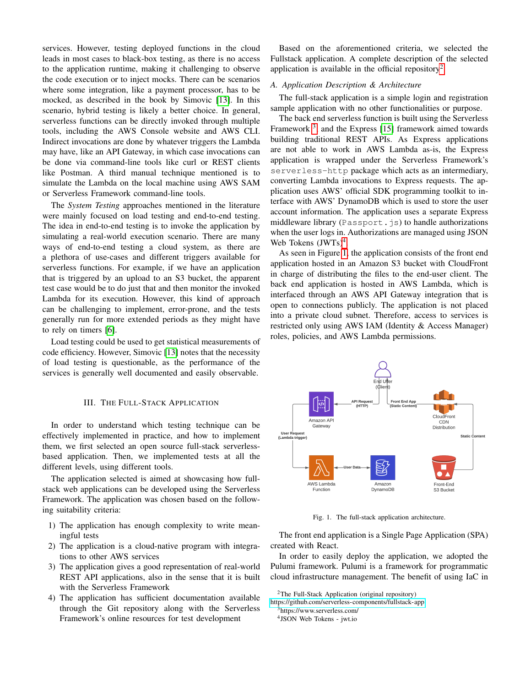services. However, testing deployed functions in the cloud leads in most cases to black-box testing, as there is no access to the application runtime, making it challenging to observe the code execution or to inject mocks. There can be scenarios where some integration, like a payment processor, has to be mocked, as described in the book by Simovic [\[13\]](#page-6-9). In this scenario, hybrid testing is likely a better choice. In general, serverless functions can be directly invoked through multiple tools, including the AWS Console website and AWS CLI. Indirect invocations are done by whatever triggers the Lambda may have, like an API Gateway, in which case invocations can be done via command-line tools like curl or REST clients like Postman. A third manual technique mentioned is to simulate the Lambda on the local machine using AWS SAM or Serverless Framework command-line tools.

The *System Testing* approaches mentioned in the literature were mainly focused on load testing and end-to-end testing. The idea in end-to-end testing is to invoke the application by simulating a real-world execution scenario. There are many ways of end-to-end testing a cloud system, as there are a plethora of use-cases and different triggers available for serverless functions. For example, if we have an application that is triggered by an upload to an S3 bucket, the apparent test case would be to do just that and then monitor the invoked Lambda for its execution. However, this kind of approach can be challenging to implement, error-prone, and the tests generally run for more extended periods as they might have to rely on timers [\[6\]](#page-6-10).

Load testing could be used to get statistical measurements of code efficiency. However, Simovic [\[13\]](#page-6-9) notes that the necessity of load testing is questionable, as the performance of the services is generally well documented and easily observable.

# III. THE FULL-STACK APPLICATION

In order to understand which testing technique can be effectively implemented in practice, and how to implement them, we first selected an open source full-stack serverlessbased application. Then, we implemented tests at all the different levels, using different tools.

The application selected is aimed at showcasing how fullstack web applications can be developed using the Serverless Framework. The application was chosen based on the following suitability criteria:

- 1) The application has enough complexity to write meaningful tests
- 2) The application is a cloud-native program with integrations to other AWS services
- 3) The application gives a good representation of real-world REST API applications, also in the sense that it is built with the Serverless Framework
- 4) The application has sufficient documentation available through the Git repository along with the Serverless Framework's online resources for test development

Based on the aforementioned criteria, we selected the Fullstack application. A complete description of the selected application is available in the official repository<sup>[2](#page-1-0)</sup>.

## *A. Application Description & Architecture*

The full-stack application is a simple login and registration sample application with no other functionalities or purpose.

The back end serverless function is built using the Serverless Framework<sup>[3](#page-1-1)</sup>, and the Express [\[15\]](#page-6-11) framework aimed towards building traditional REST APIs. As Express applications are not able to work in AWS Lambda as-is, the Express application is wrapped under the Serverless Framework's serverless-http package which acts as an intermediary, converting Lambda invocations to Express requests. The application uses AWS' official SDK programming toolkit to interface with AWS' DynamoDB which is used to store the user account information. The application uses a separate Express middleware library (Passport.js) to handle authorizations when the user logs in. Authorizations are managed using JSON Web Tokens (JWTs)<sup>[4](#page-1-2)</sup>.

As seen in Figure [1,](#page-1-3) the application consists of the front end application hosted in an Amazon S3 bucket with CloudFront in charge of distributing the files to the end-user client. The back end application is hosted in AWS Lambda, which is interfaced through an AWS API Gateway integration that is open to connections publicly. The application is not placed into a private cloud subnet. Therefore, access to services is restricted only using AWS IAM (Identity & Access Manager) roles, policies, and AWS Lambda permissions.



Fig. 1. The full-stack application architecture.

<span id="page-1-3"></span>The front end application is a Single Page Application (SPA) created with React.

In order to easily deploy the application, we adopted the Pulumi framework. Pulumi is a framework for programmatic cloud infrastructure management. The benefit of using IaC in

<span id="page-1-0"></span><sup>&</sup>lt;sup>2</sup>The Full-Stack Application (original repository)

<https://github.com/serverless-components/fullstack-app>

<span id="page-1-1"></span><sup>3</sup>https://www.serverless.com/

<span id="page-1-2"></span><sup>4</sup> JSON Web Tokens - jwt.io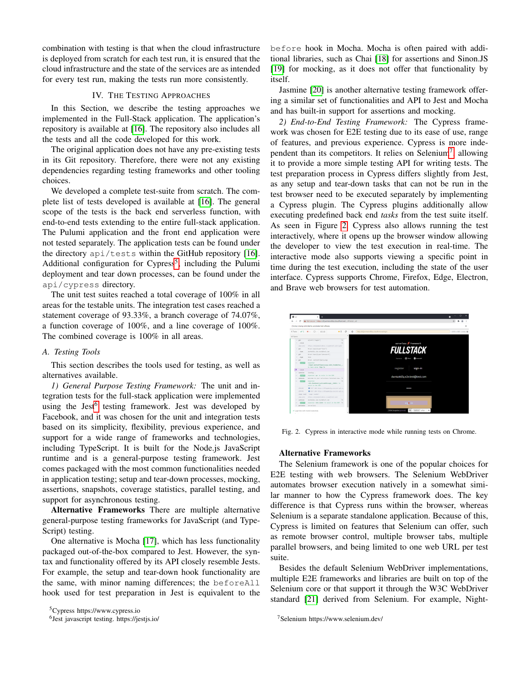combination with testing is that when the cloud infrastructure is deployed from scratch for each test run, it is ensured that the cloud infrastructure and the state of the services are as intended for every test run, making the tests run more consistently.

## IV. THE TESTING APPROACHES

In this Section, we describe the testing approaches we implemented in the Full-Stack application. The application's repository is available at [\[16\]](#page-6-12). The repository also includes all the tests and all the code developed for this work.

The original application does not have any pre-existing tests in its Git repository. Therefore, there were not any existing dependencies regarding testing frameworks and other tooling choices.

We developed a complete test-suite from scratch. The complete list of tests developed is available at [\[16\]](#page-6-12). The general scope of the tests is the back end serverless function, with end-to-end tests extending to the entire full-stack application. The Pulumi application and the front end application were not tested separately. The application tests can be found under the directory api/tests within the GitHub repository [\[16\]](#page-6-12). Additional configuration for Cypress<sup>[5](#page-2-0)</sup>, including the Pulumi deployment and tear down processes, can be found under the api/cypress directory.

The unit test suites reached a total coverage of 100% in all areas for the testable units. The integration test cases reached a statement coverage of 93.33%, a branch coverage of 74.07%, a function coverage of 100%, and a line coverage of 100%. The combined coverage is 100% in all areas.

## *A. Testing Tools*

This section describes the tools used for testing, as well as alternatives available.

*1) General Purpose Testing Framework:* The unit and integration tests for the full-stack application were implemented using the Jest<sup>[6](#page-2-1)</sup> testing framework. Jest was developed by Facebook, and it was chosen for the unit and integration tests based on its simplicity, flexibility, previous experience, and support for a wide range of frameworks and technologies, including TypeScript. It is built for the Node.js JavaScript runtime and is a general-purpose testing framework. Jest comes packaged with the most common functionalities needed in application testing; setup and tear-down processes, mocking, assertions, snapshots, coverage statistics, parallel testing, and support for asynchronous testing.

Alternative Frameworks There are multiple alternative general-purpose testing frameworks for JavaScript (and Type-Script) testing.

One alternative is Mocha [\[17\]](#page-6-13), which has less functionality packaged out-of-the-box compared to Jest. However, the syntax and functionality offered by its API closely resemble Jests. For example, the setup and tear-down hook functionality are the same, with minor naming differences; the beforeAll hook used for test preparation in Jest is equivalent to the

<span id="page-2-0"></span><sup>5</sup>Cypress https://www.cypress.io

before hook in Mocha. Mocha is often paired with additional libraries, such as Chai [\[18\]](#page-6-14) for assertions and Sinon.JS [\[19\]](#page-6-15) for mocking, as it does not offer that functionality by itself.

Jasmine [\[20\]](#page-6-16) is another alternative testing framework offering a similar set of functionalities and API to Jest and Mocha and has built-in support for assertions and mocking.

*2) End-to-End Testing Framework:* The Cypress framework was chosen for E2E testing due to its ease of use, range of features, and previous experience. Cypress is more inde-pendent than its competitors. It relies on Selenium<sup>[7](#page-2-2)</sup>, allowing it to provide a more simple testing API for writing tests. The test preparation process in Cypress differs slightly from Jest, as any setup and tear-down tasks that can not be run in the test browser need to be executed separately by implementing a Cypress plugin. The Cypress plugins additionally allow executing predefined back end *tasks* from the test suite itself. As seen in Figure [2,](#page-2-3) Cypress also allows running the test interactively, where it opens up the browser window allowing the developer to view the test execution in real-time. The interactive mode also supports viewing a specific point in time during the test execution, including the state of the user interface. Cypress supports Chrome, Firefox, Edge, Electron, and Brave web browsers for test automation.



Fig. 2. Cypress in interactive mode while running tests on Chrome.

## <span id="page-2-3"></span>Alternative Frameworks

The Selenium framework is one of the popular choices for E2E testing with web browsers. The Selenium WebDriver automates browser execution natively in a somewhat similar manner to how the Cypress framework does. The key difference is that Cypress runs within the browser, whereas Selenium is a separate standalone application. Because of this, Cypress is limited on features that Selenium can offer, such as remote browser control, multiple browser tabs, multiple parallel browsers, and being limited to one web URL per test suite.

Besides the default Selenium WebDriver implementations, multiple E2E frameworks and libraries are built on top of the Selenium core or that support it through the W3C WebDriver standard [\[21\]](#page-6-17) derived from Selenium. For example, Night-

<span id="page-2-1"></span><sup>6</sup> Jest javascript testing. https://jestjs.io/

<span id="page-2-2"></span><sup>7</sup>Selenium https://www.selenium.dev/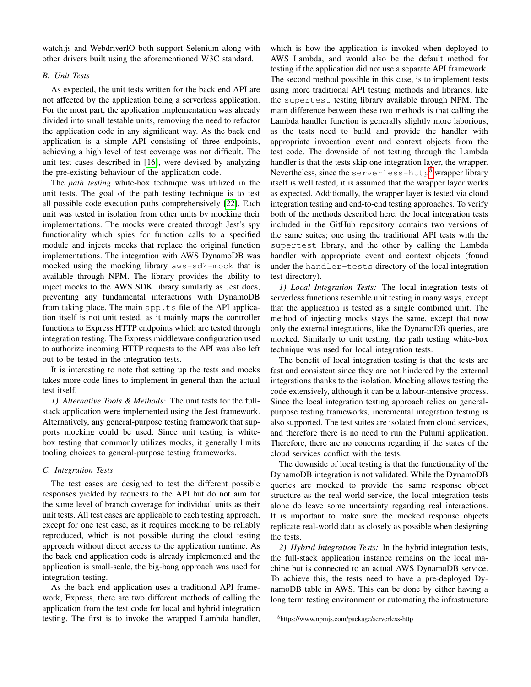watch.js and WebdriverIO both support Selenium along with other drivers built using the aforementioned W3C standard.

# *B. Unit Tests*

As expected, the unit tests written for the back end API are not affected by the application being a serverless application. For the most part, the application implementation was already divided into small testable units, removing the need to refactor the application code in any significant way. As the back end application is a simple API consisting of three endpoints, achieving a high level of test coverage was not difficult. The unit test cases described in [\[16\]](#page-6-12), were devised by analyzing the pre-existing behaviour of the application code.

The *path testing* white-box technique was utilized in the unit tests. The goal of the path testing technique is to test all possible code execution paths comprehensively [\[22\]](#page-6-18). Each unit was tested in isolation from other units by mocking their implementations. The mocks were created through Jest's spy functionality which spies for function calls to a specified module and injects mocks that replace the original function implementations. The integration with AWS DynamoDB was mocked using the mocking library aws-sdk-mock that is available through NPM. The library provides the ability to inject mocks to the AWS SDK library similarly as Jest does, preventing any fundamental interactions with DynamoDB from taking place. The main app.ts file of the API application itself is not unit tested, as it mainly maps the controller functions to Express HTTP endpoints which are tested through integration testing. The Express middleware configuration used to authorize incoming HTTP requests to the API was also left out to be tested in the integration tests.

It is interesting to note that setting up the tests and mocks takes more code lines to implement in general than the actual test itself.

*1) Alternative Tools & Methods:* The unit tests for the fullstack application were implemented using the Jest framework. Alternatively, any general-purpose testing framework that supports mocking could be used. Since unit testing is whitebox testing that commonly utilizes mocks, it generally limits tooling choices to general-purpose testing frameworks.

#### *C. Integration Tests*

The test cases are designed to test the different possible responses yielded by requests to the API but do not aim for the same level of branch coverage for individual units as their unit tests. All test cases are applicable to each testing approach, except for one test case, as it requires mocking to be reliably reproduced, which is not possible during the cloud testing approach without direct access to the application runtime. As the back end application code is already implemented and the application is small-scale, the big-bang approach was used for integration testing.

As the back end application uses a traditional API framework, Express, there are two different methods of calling the application from the test code for local and hybrid integration testing. The first is to invoke the wrapped Lambda handler, which is how the application is invoked when deployed to AWS Lambda, and would also be the default method for testing if the application did not use a separate API framework. The second method possible in this case, is to implement tests using more traditional API testing methods and libraries, like the supertest testing library available through NPM. The main difference between these two methods is that calling the Lambda handler function is generally slightly more laborious, as the tests need to build and provide the handler with appropriate invocation event and context objects from the test code. The downside of not testing through the Lambda handler is that the tests skip one integration layer, the wrapper. Nevertheless, since the serverless-http<sup>[8](#page-3-0)</sup> wrapper library itself is well tested, it is assumed that the wrapper layer works as expected. Additionally, the wrapper layer is tested via cloud integration testing and end-to-end testing approaches. To verify both of the methods described here, the local integration tests included in the GitHub repository contains two versions of the same suites; one using the traditional API tests with the supertest library, and the other by calling the Lambda handler with appropriate event and context objects (found under the handler-tests directory of the local integration test directory).

*1) Local Integration Tests:* The local integration tests of serverless functions resemble unit testing in many ways, except that the application is tested as a single combined unit. The method of injecting mocks stays the same, except that now only the external integrations, like the DynamoDB queries, are mocked. Similarly to unit testing, the path testing white-box technique was used for local integration tests.

The benefit of local integration testing is that the tests are fast and consistent since they are not hindered by the external integrations thanks to the isolation. Mocking allows testing the code extensively, although it can be a labour-intensive process. Since the local integration testing approach relies on generalpurpose testing frameworks, incremental integration testing is also supported. The test suites are isolated from cloud services, and therefore there is no need to run the Pulumi application. Therefore, there are no concerns regarding if the states of the cloud services conflict with the tests.

The downside of local testing is that the functionality of the DynamoDB integration is not validated. While the DynamoDB queries are mocked to provide the same response object structure as the real-world service, the local integration tests alone do leave some uncertainty regarding real interactions. It is important to make sure the mocked response objects replicate real-world data as closely as possible when designing the tests.

*2) Hybrid Integration Tests:* In the hybrid integration tests, the full-stack application instance remains on the local machine but is connected to an actual AWS DynamoDB service. To achieve this, the tests need to have a pre-deployed DynamoDB table in AWS. This can be done by either having a long term testing environment or automating the infrastructure

<span id="page-3-0"></span><sup>8</sup>https://www.npmjs.com/package/serverless-http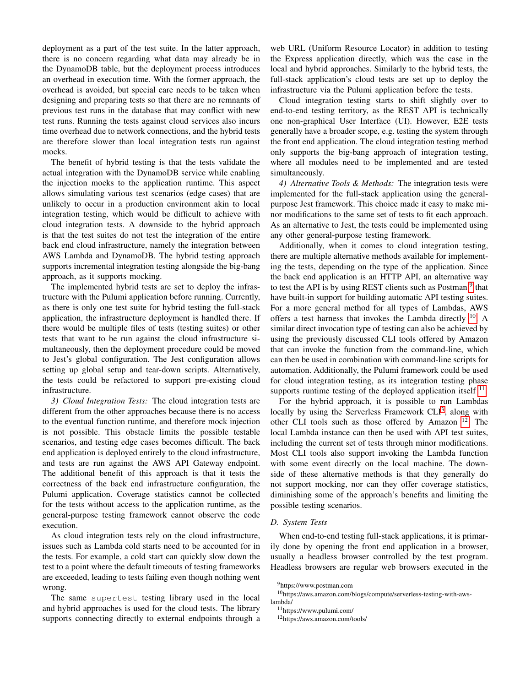deployment as a part of the test suite. In the latter approach, there is no concern regarding what data may already be in the DynamoDB table, but the deployment process introduces an overhead in execution time. With the former approach, the overhead is avoided, but special care needs to be taken when designing and preparing tests so that there are no remnants of previous test runs in the database that may conflict with new test runs. Running the tests against cloud services also incurs time overhead due to network connections, and the hybrid tests are therefore slower than local integration tests run against mocks.

The benefit of hybrid testing is that the tests validate the actual integration with the DynamoDB service while enabling the injection mocks to the application runtime. This aspect allows simulating various test scenarios (edge cases) that are unlikely to occur in a production environment akin to local integration testing, which would be difficult to achieve with cloud integration tests. A downside to the hybrid approach is that the test suites do not test the integration of the entire back end cloud infrastructure, namely the integration between AWS Lambda and DynamoDB. The hybrid testing approach supports incremental integration testing alongside the big-bang approach, as it supports mocking.

The implemented hybrid tests are set to deploy the infrastructure with the Pulumi application before running. Currently, as there is only one test suite for hybrid testing the full-stack application, the infrastructure deployment is handled there. If there would be multiple files of tests (testing suites) or other tests that want to be run against the cloud infrastructure simultaneously, then the deployment procedure could be moved to Jest's global configuration. The Jest configuration allows setting up global setup and tear-down scripts. Alternatively, the tests could be refactored to support pre-existing cloud infrastructure.

*3) Cloud Integration Tests:* The cloud integration tests are different from the other approaches because there is no access to the eventual function runtime, and therefore mock injection is not possible. This obstacle limits the possible testable scenarios, and testing edge cases becomes difficult. The back end application is deployed entirely to the cloud infrastructure, and tests are run against the AWS API Gateway endpoint. The additional benefit of this approach is that it tests the correctness of the back end infrastructure configuration, the Pulumi application. Coverage statistics cannot be collected for the tests without access to the application runtime, as the general-purpose testing framework cannot observe the code execution.

As cloud integration tests rely on the cloud infrastructure, issues such as Lambda cold starts need to be accounted for in the tests. For example, a cold start can quickly slow down the test to a point where the default timeouts of testing frameworks are exceeded, leading to tests failing even though nothing went wrong.

The same supertest testing library used in the local and hybrid approaches is used for the cloud tests. The library supports connecting directly to external endpoints through a web URL (Uniform Resource Locator) in addition to testing the Express application directly, which was the case in the local and hybrid approaches. Similarly to the hybrid tests, the full-stack application's cloud tests are set up to deploy the infrastructure via the Pulumi application before the tests.

Cloud integration testing starts to shift slightly over to end-to-end testing territory, as the REST API is technically one non-graphical User Interface (UI). However, E2E tests generally have a broader scope, e.g. testing the system through the front end application. The cloud integration testing method only supports the big-bang approach of integration testing, where all modules need to be implemented and are tested simultaneously.

*4) Alternative Tools & Methods:* The integration tests were implemented for the full-stack application using the generalpurpose Jest framework. This choice made it easy to make minor modifications to the same set of tests to fit each approach. As an alternative to Jest, the tests could be implemented using any other general-purpose testing framework.

Additionally, when it comes to cloud integration testing, there are multiple alternative methods available for implementing the tests, depending on the type of the application. Since the back end application is an HTTP API, an alternative way to test the API is by using REST clients such as Postman <sup>[9](#page-4-0)</sup> that have built-in support for building automatic API testing suites. For a more general method for all types of Lambdas, AWS offers a test harness that invokes the Lambda directly  $10$ . A similar direct invocation type of testing can also be achieved by using the previously discussed CLI tools offered by Amazon that can invoke the function from the command-line, which can then be used in combination with command-line scripts for automation. Additionally, the Pulumi framework could be used for cloud integration testing, as its integration testing phase supports runtime testing of the deployed application itself  $11$ .

For the hybrid approach, it is possible to run Lambdas locally by using the Serverless Framework  $CLI<sup>3</sup>$  $CLI<sup>3</sup>$  $CLI<sup>3</sup>$ , along with other CLI tools such as those offered by Amazon [12](#page-4-3). The local Lambda instance can then be used with API test suites, including the current set of tests through minor modifications. Most CLI tools also support invoking the Lambda function with some event directly on the local machine. The downside of these alternative methods is that they generally do not support mocking, nor can they offer coverage statistics, diminishing some of the approach's benefits and limiting the possible testing scenarios.

## *D. System Tests*

When end-to-end testing full-stack applications, it is primarily done by opening the front end application in a browser, usually a headless browser controlled by the test program. Headless browsers are regular web browsers executed in the

<sup>10</sup>https://aws.amazon.com/blogs/compute/serverless-testing-with-awslambda/

<span id="page-4-1"></span><span id="page-4-0"></span><sup>9</sup>https://www.postman.com

<span id="page-4-2"></span><sup>11</sup>https://www.pulumi.com/

<span id="page-4-3"></span><sup>12</sup>https://aws.amazon.com/tools/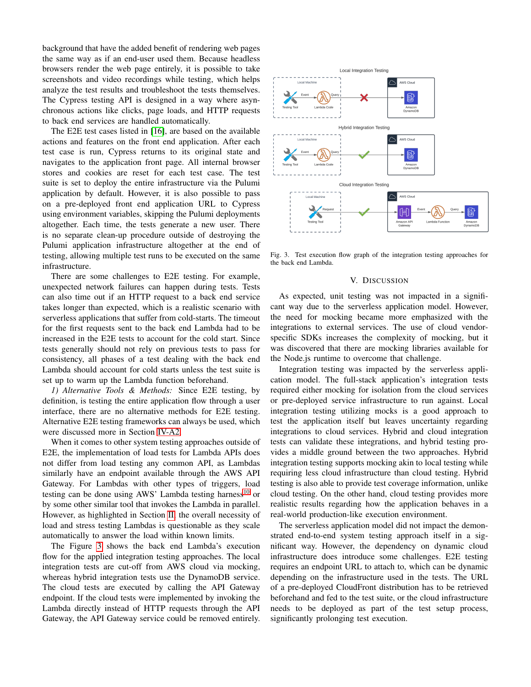background that have the added benefit of rendering web pages the same way as if an end-user used them. Because headless browsers render the web page entirely, it is possible to take screenshots and video recordings while testing, which helps analyze the test results and troubleshoot the tests themselves. The Cypress testing API is designed in a way where asynchronous actions like clicks, page loads, and HTTP requests to back end services are handled automatically.

The E2E test cases listed in [\[16\]](#page-6-12), are based on the available actions and features on the front end application. After each test case is run, Cypress returns to its original state and navigates to the application front page. All internal browser stores and cookies are reset for each test case. The test suite is set to deploy the entire infrastructure via the Pulumi application by default. However, it is also possible to pass on a pre-deployed front end application URL to Cypress using environment variables, skipping the Pulumi deployments altogether. Each time, the tests generate a new user. There is no separate clean-up procedure outside of destroying the Pulumi application infrastructure altogether at the end of testing, allowing multiple test runs to be executed on the same infrastructure.

There are some challenges to E2E testing. For example, unexpected network failures can happen during tests. Tests can also time out if an HTTP request to a back end service takes longer than expected, which is a realistic scenario with serverless applications that suffer from cold-starts. The timeout for the first requests sent to the back end Lambda had to be increased in the E2E tests to account for the cold start. Since tests generally should not rely on previous tests to pass for consistency, all phases of a test dealing with the back end Lambda should account for cold starts unless the test suite is set up to warm up the Lambda function beforehand.

*1) Alternative Tools & Methods:* Since E2E testing, by definition, is testing the entire application flow through a user interface, there are no alternative methods for E2E testing. Alternative E2E testing frameworks can always be used, which were discussed more in Section [IV-A2.](#page-2-3)

When it comes to other system testing approaches outside of E2E, the implementation of load tests for Lambda APIs does not differ from load testing any common API, as Lambdas similarly have an endpoint available through the AWS API Gateway. For Lambdas with other types of triggers, load testing can be done using AWS' Lambda testing harness<sup>[10](#page-4-1)</sup> or by some other similar tool that invokes the Lambda in parallel. However, as highlighted in Section [II,](#page-0-1) the overall necessity of load and stress testing Lambdas is questionable as they scale automatically to answer the load within known limits.

The Figure [3](#page-5-0) shows the back end Lambda's execution flow for the applied integration testing approaches. The local integration tests are cut-off from AWS cloud via mocking, whereas hybrid integration tests use the DynamoDB service. The cloud tests are executed by calling the API Gateway endpoint. If the cloud tests were implemented by invoking the Lambda directly instead of HTTP requests through the API Gateway, the API Gateway service could be removed entirely.



<span id="page-5-0"></span>Fig. 3. Test execution flow graph of the integration testing approaches for the back end Lambda.

#### V. DISCUSSION

As expected, unit testing was not impacted in a significant way due to the serverless application model. However, the need for mocking became more emphasized with the integrations to external services. The use of cloud vendorspecific SDKs increases the complexity of mocking, but it was discovered that there are mocking libraries available for the Node.js runtime to overcome that challenge.

Integration testing was impacted by the serverless application model. The full-stack application's integration tests required either mocking for isolation from the cloud services or pre-deployed service infrastructure to run against. Local integration testing utilizing mocks is a good approach to test the application itself but leaves uncertainty regarding integrations to cloud services. Hybrid and cloud integration tests can validate these integrations, and hybrid testing provides a middle ground between the two approaches. Hybrid integration testing supports mocking akin to local testing while requiring less cloud infrastructure than cloud testing. Hybrid testing is also able to provide test coverage information, unlike cloud testing. On the other hand, cloud testing provides more realistic results regarding how the application behaves in a real-world production-like execution environment.

The serverless application model did not impact the demonstrated end-to-end system testing approach itself in a significant way. However, the dependency on dynamic cloud infrastructure does introduce some challenges. E2E testing requires an endpoint URL to attach to, which can be dynamic depending on the infrastructure used in the tests. The URL of a pre-deployed CloudFront distribution has to be retrieved beforehand and fed to the test suite, or the cloud infrastructure needs to be deployed as part of the test setup process, significantly prolonging test execution.